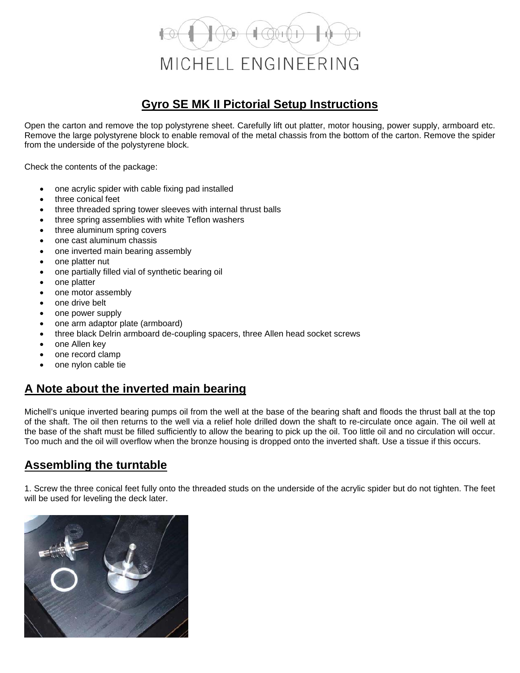## MICHELL ENGINEERING

## **Gyro SE MK II Pictorial Setup Instructions**

Open the carton and remove the top polystyrene sheet. Carefully lift out platter, motor housing, power supply, armboard etc. Remove the large polystyrene block to enable removal of the metal chassis from the bottom of the carton. Remove the spider from the underside of the polystyrene block.

Check the contents of the package:

- one acrylic spider with cable fixing pad installed
- three conical feet
- three threaded spring tower sleeves with internal thrust balls
- three spring assemblies with white Teflon washers
- three aluminum spring covers
- one cast aluminum chassis
- one inverted main bearing assembly
- one platter nut
- one partially filled vial of synthetic bearing oil
- one platter
- one motor assembly
- one drive belt
- one power supply
- one arm adaptor plate (armboard)
- three black Delrin armboard de-coupling spacers, three Allen head socket screws
- one Allen key
- one record clamp
- one nylon cable tie

## **A Note about the inverted main bearing**

Michell's unique inverted bearing pumps oil from the well at the base of the bearing shaft and floods the thrust ball at the top of the shaft. The oil then returns to the well via a relief hole drilled down the shaft to re-circulate once again. The oil well at the base of the shaft must be filled sufficiently to allow the bearing to pick up the oil. Too little oil and no circulation will occur. Too much and the oil will overflow when the bronze housing is dropped onto the inverted shaft. Use a tissue if this occurs.

## **Assembling the turntable**

1. Screw the three conical feet fully onto the threaded studs on the underside of the acrylic spider but do not tighten. The feet will be used for leveling the deck later.

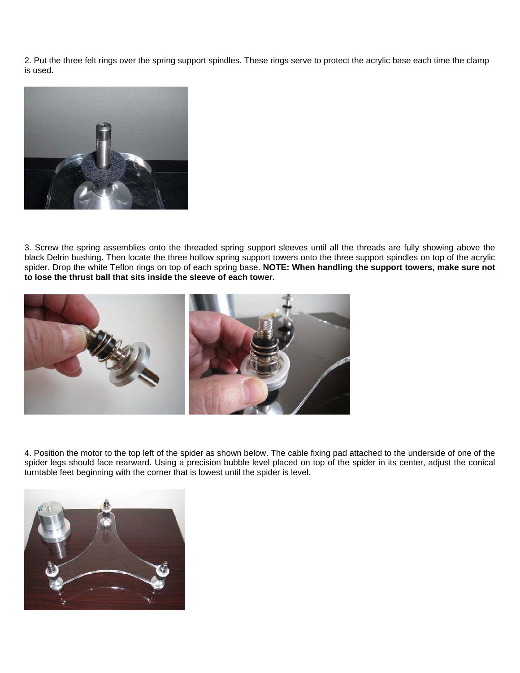2. Put the three felt rings over the spring support spindles. These rings serve to protect the acrylic base each time the clamp is used.



3. Screw the spring assemblies onto the threaded spring support sleeves until all the threads are fully showing above the black Delrin bushing. Then locate the three hollow spring support towers onto the three support spindles on top of the acrylic spider. Drop the white Teflon rings on top of each spring base. **NOTE: When handling the support towers, make sure not to lose the thrust ball that sits inside the sleeve of each tower.** 



4. Position the motor to the top left of the spider as shown below. The cable fixing pad attached to the underside of one of the spider legs should face rearward. Using a precision bubble level placed on top of the spider in its center, adjust the conical turntable feet beginning with the corner that is lowest until the spider is level.

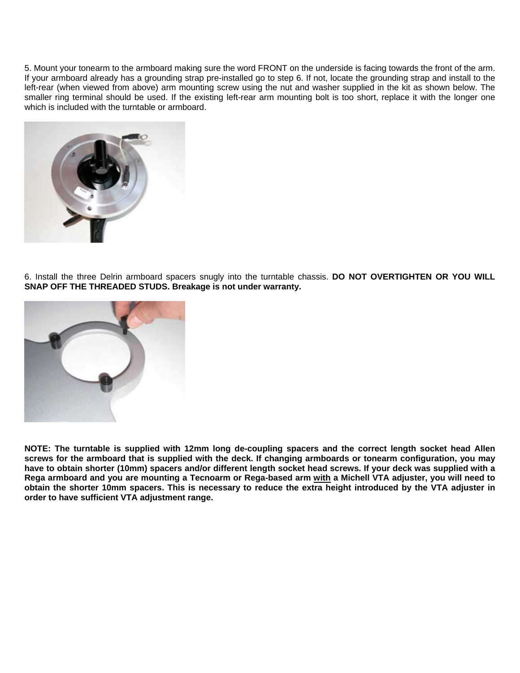5. Mount your tonearm to the armboard making sure the word FRONT on the underside is facing towards the front of the arm. If your armboard already has a grounding strap pre-installed go to step 6. If not, locate the grounding strap and install to the left-rear (when viewed from above) arm mounting screw using the nut and washer supplied in the kit as shown below. The smaller ring terminal should be used. If the existing left-rear arm mounting bolt is too short, replace it with the longer one which is included with the turntable or armboard.



6. Install the three Delrin armboard spacers snugly into the turntable chassis. **DO NOT OVERTIGHTEN OR YOU WILL SNAP OFF THE THREADED STUDS. Breakage is not under warranty.** 



**NOTE: The turntable is supplied with 12mm long de-coupling spacers and the correct length socket head Allen screws for the armboard that is supplied with the deck. If changing armboards or tonearm configuration, you may have to obtain shorter (10mm) spacers and/or different length socket head screws. If your deck was supplied with a Rega armboard and you are mounting a Tecnoarm or Rega-based arm with a Michell VTA adjuster, you will need to obtain the shorter 10mm spacers. This is necessary to reduce the extra height introduced by the VTA adjuster in order to have sufficient VTA adjustment range.**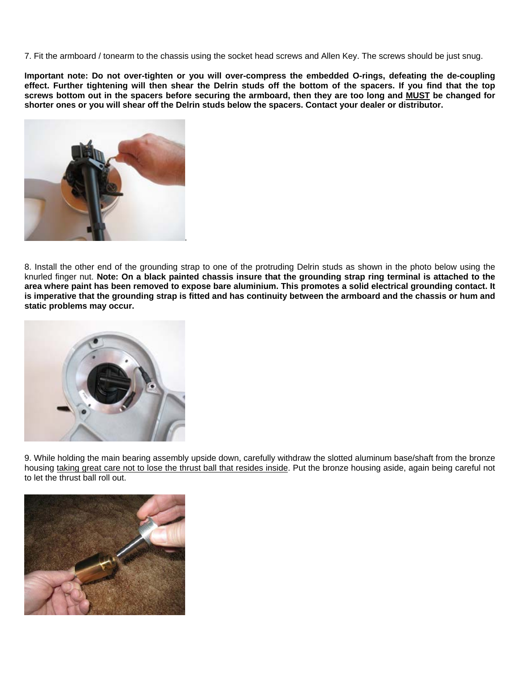7. Fit the armboard / tonearm to the chassis using the socket head screws and Allen Key. The screws should be just snug.

**Important note: Do not over-tighten or you will over-compress the embedded O-rings, defeating the de-coupling effect. Further tightening will then shear the Delrin studs off the bottom of the spacers. If you find that the top screws bottom out in the spacers before securing the armboard, then they are too long and MUST be changed for shorter ones or you will shear off the Delrin studs below the spacers. Contact your dealer or distributor.** 



8. Install the other end of the grounding strap to one of the protruding Delrin studs as shown in the photo below using the knurled finger nut. **Note: On a black painted chassis insure that the grounding strap ring terminal is attached to the area where paint has been removed to expose bare aluminium. This promotes a solid electrical grounding contact. It is imperative that the grounding strap is fitted and has continuity between the armboard and the chassis or hum and static problems may occur.** 



9. While holding the main bearing assembly upside down, carefully withdraw the slotted aluminum base/shaft from the bronze housing taking great care not to lose the thrust ball that resides inside. Put the bronze housing aside, again being careful not to let the thrust ball roll out.

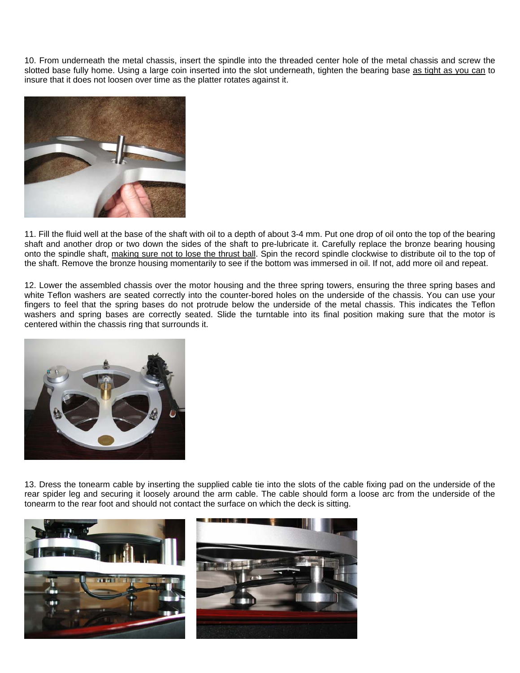10. From underneath the metal chassis, insert the spindle into the threaded center hole of the metal chassis and screw the slotted base fully home. Using a large coin inserted into the slot underneath, tighten the bearing base as tight as you can to insure that it does not loosen over time as the platter rotates against it.



11. Fill the fluid well at the base of the shaft with oil to a depth of about 3-4 mm. Put one drop of oil onto the top of the bearing shaft and another drop or two down the sides of the shaft to pre-lubricate it. Carefully replace the bronze bearing housing onto the spindle shaft, making sure not to lose the thrust ball. Spin the record spindle clockwise to distribute oil to the top of the shaft. Remove the bronze housing momentarily to see if the bottom was immersed in oil. If not, add more oil and repeat.

12. Lower the assembled chassis over the motor housing and the three spring towers, ensuring the three spring bases and white Teflon washers are seated correctly into the counter-bored holes on the underside of the chassis. You can use your fingers to feel that the spring bases do not protrude below the underside of the metal chassis. This indicates the Teflon washers and spring bases are correctly seated. Slide the turntable into its final position making sure that the motor is centered within the chassis ring that surrounds it.



13. Dress the tonearm cable by inserting the supplied cable tie into the slots of the cable fixing pad on the underside of the rear spider leg and securing it loosely around the arm cable. The cable should form a loose arc from the underside of the tonearm to the rear foot and should not contact the surface on which the deck is sitting.